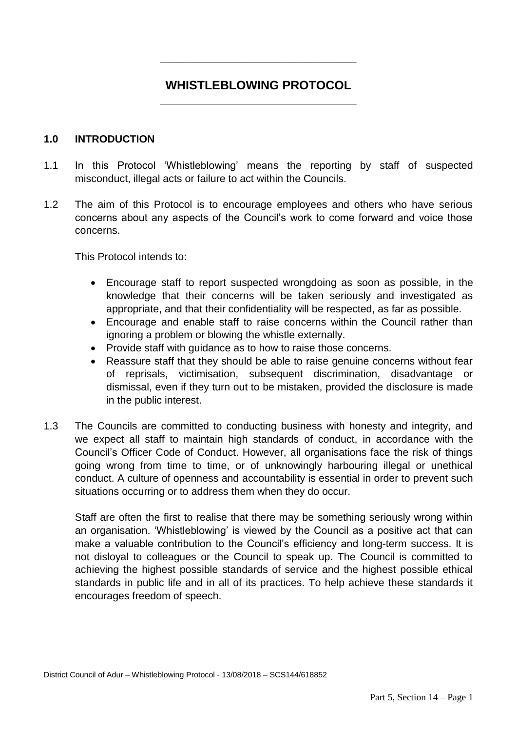## **\_\_\_\_\_\_\_\_\_\_\_\_\_\_\_\_\_\_\_\_\_\_\_\_\_\_\_\_\_ WHISTLEBLOWING PROTOCOL**

**\_\_\_\_\_\_\_\_\_\_\_\_\_\_\_\_\_\_\_\_\_\_\_\_\_\_\_\_\_**

#### **1.0 INTRODUCTION**

- 1.1 In this Protocol 'Whistleblowing' means the reporting by staff of suspected misconduct, illegal acts or failure to act within the Councils.
- 1.2 The aim of this Protocol is to encourage employees and others who have serious concerns about any aspects of the Council's work to come forward and voice those concerns.

This Protocol intends to:

- Encourage staff to report suspected wrongdoing as soon as possible, in the knowledge that their concerns will be taken seriously and investigated as appropriate, and that their confidentiality will be respected, as far as possible.
- Encourage and enable staff to raise concerns within the Council rather than ignoring a problem or blowing the whistle externally.
- Provide staff with quidance as to how to raise those concerns.
- Reassure staff that they should be able to raise genuine concerns without fear of reprisals, victimisation, subsequent discrimination, disadvantage or dismissal, even if they turn out to be mistaken, provided the disclosure is made in the public interest.
- 1.3 The Councils are committed to conducting business with honesty and integrity, and we expect all staff to maintain high standards of conduct, in accordance with the Council's Officer Code of Conduct. However, all organisations face the risk of things going wrong from time to time, or of unknowingly harbouring illegal or unethical conduct. A culture of openness and accountability is essential in order to prevent such situations occurring or to address them when they do occur.

Staff are often the first to realise that there may be something seriously wrong within an organisation. 'Whistleblowing' is viewed by the Council as a positive act that can make a valuable contribution to the Council's efficiency and long-term success. It is not disloyal to colleagues or the Council to speak up. The Council is committed to achieving the highest possible standards of service and the highest possible ethical standards in public life and in all of its practices. To help achieve these standards it encourages freedom of speech.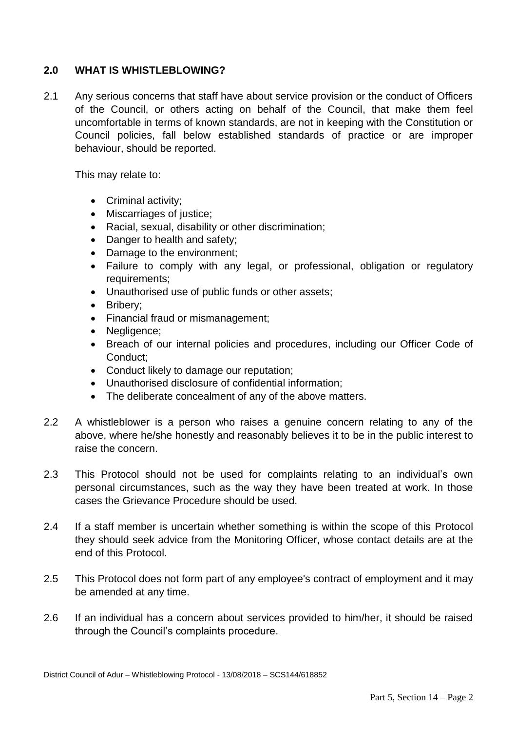## **2.0 WHAT IS WHISTLEBLOWING?**

2.1 Any serious concerns that staff have about service provision or the conduct of Officers of the Council, or others acting on behalf of the Council, that make them feel uncomfortable in terms of known standards, are not in keeping with the Constitution or Council policies, fall below established standards of practice or are improper behaviour, should be reported.

This may relate to:

- Criminal activity;
- Miscarriages of justice;
- Racial, sexual, disability or other discrimination;
- Danger to health and safety;
- Damage to the environment;
- Failure to comply with any legal, or professional, obligation or regulatory requirements;
- Unauthorised use of public funds or other assets;
- Bribery:
- Financial fraud or mismanagement;
- Negligence;
- Breach of our internal policies and procedures, including our Officer Code of Conduct;
- Conduct likely to damage our reputation;
- Unauthorised disclosure of confidential information;
- The deliberate concealment of any of the above matters.
- 2.2 A whistleblower is a person who raises a genuine concern relating to any of the above, where he/she honestly and reasonably believes it to be in the public interest to raise the concern.
- 2.3 This Protocol should not be used for complaints relating to an individual's own personal circumstances, such as the way they have been treated at work. In those cases the Grievance Procedure should be used.
- 2.4 If a staff member is uncertain whether something is within the scope of this Protocol they should seek advice from the Monitoring Officer, whose contact details are at the end of this Protocol.
- 2.5 This Protocol does not form part of any employee's contract of employment and it may be amended at any time.
- 2.6 If an individual has a concern about services provided to him/her, it should be raised through the Council's complaints procedure.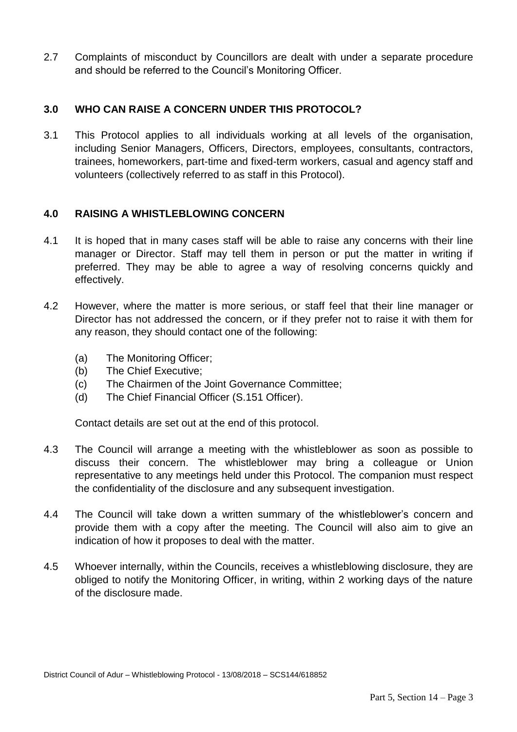2.7 Complaints of misconduct by Councillors are dealt with under a separate procedure and should be referred to the Council's Monitoring Officer.

## **3.0 WHO CAN RAISE A CONCERN UNDER THIS PROTOCOL?**

3.1 This Protocol applies to all individuals working at all levels of the organisation, including Senior Managers, Officers, Directors, employees, consultants, contractors, trainees, homeworkers, part-time and fixed-term workers, casual and agency staff and volunteers (collectively referred to as staff in this Protocol).

#### **4.0 RAISING A WHISTLEBLOWING CONCERN**

- 4.1 It is hoped that in many cases staff will be able to raise any concerns with their line manager or Director. Staff may tell them in person or put the matter in writing if preferred. They may be able to agree a way of resolving concerns quickly and effectively.
- 4.2 However, where the matter is more serious, or staff feel that their line manager or Director has not addressed the concern, or if they prefer not to raise it with them for any reason, they should contact one of the following:
	- (a) The Monitoring Officer;
	- (b) The Chief Executive;
	- (c) The Chairmen of the Joint Governance Committee;
	- (d) The Chief Financial Officer (S.151 Officer).

Contact details are set out at the end of this protocol.

- 4.3 The Council will arrange a meeting with the whistleblower as soon as possible to discuss their concern. The whistleblower may bring a colleague or Union representative to any meetings held under this Protocol. The companion must respect the confidentiality of the disclosure and any subsequent investigation.
- 4.4 The Council will take down a written summary of the whistleblower's concern and provide them with a copy after the meeting. The Council will also aim to give an indication of how it proposes to deal with the matter.
- 4.5 Whoever internally, within the Councils, receives a whistleblowing disclosure, they are obliged to notify the Monitoring Officer, in writing, within 2 working days of the nature of the disclosure made.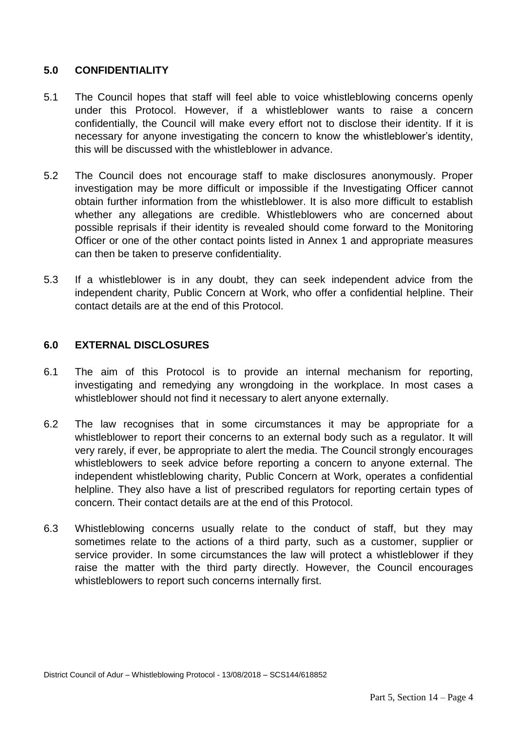## **5.0 CONFIDENTIALITY**

- 5.1 The Council hopes that staff will feel able to voice whistleblowing concerns openly under this Protocol. However, if a whistleblower wants to raise a concern confidentially, the Council will make every effort not to disclose their identity. If it is necessary for anyone investigating the concern to know the whistleblower's identity, this will be discussed with the whistleblower in advance.
- 5.2 The Council does not encourage staff to make disclosures anonymously. Proper investigation may be more difficult or impossible if the Investigating Officer cannot obtain further information from the whistleblower. It is also more difficult to establish whether any allegations are credible. Whistleblowers who are concerned about possible reprisals if their identity is revealed should come forward to the Monitoring Officer or one of the other contact points listed in Annex 1 and appropriate measures can then be taken to preserve confidentiality.
- 5.3 If a whistleblower is in any doubt, they can seek independent advice from the independent charity, Public Concern at Work, who offer a confidential helpline. Their contact details are at the end of this Protocol.

#### **6.0 EXTERNAL DISCLOSURES**

- 6.1 The aim of this Protocol is to provide an internal mechanism for reporting, investigating and remedying any wrongdoing in the workplace. In most cases a whistleblower should not find it necessary to alert anyone externally.
- 6.2 The law recognises that in some circumstances it may be appropriate for a whistleblower to report their concerns to an external body such as a regulator. It will very rarely, if ever, be appropriate to alert the media. The Council strongly encourages whistleblowers to seek advice before reporting a concern to anyone external. The independent whistleblowing charity, Public Concern at Work, operates a confidential helpline. They also have a list of prescribed regulators for reporting certain types of concern. Their contact details are at the end of this Protocol.
- 6.3 Whistleblowing concerns usually relate to the conduct of staff, but they may sometimes relate to the actions of a third party, such as a customer, supplier or service provider. In some circumstances the law will protect a whistleblower if they raise the matter with the third party directly. However, the Council encourages whistleblowers to report such concerns internally first.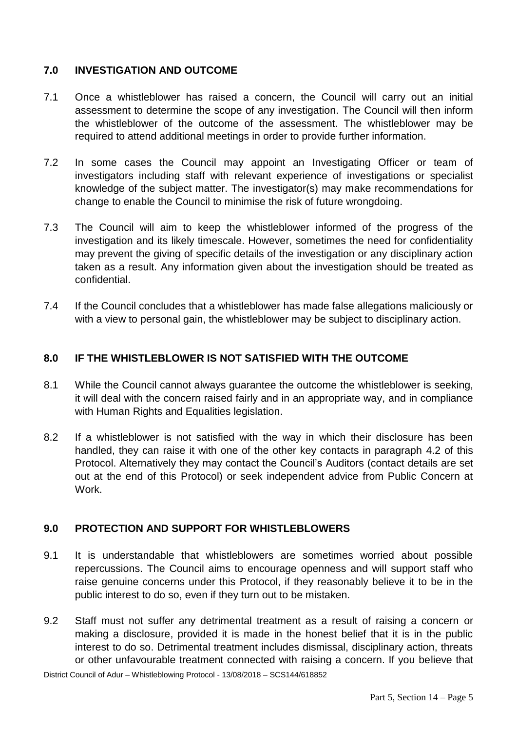## **7.0 INVESTIGATION AND OUTCOME**

- 7.1 Once a whistleblower has raised a concern, the Council will carry out an initial assessment to determine the scope of any investigation. The Council will then inform the whistleblower of the outcome of the assessment. The whistleblower may be required to attend additional meetings in order to provide further information.
- 7.2 In some cases the Council may appoint an Investigating Officer or team of investigators including staff with relevant experience of investigations or specialist knowledge of the subject matter. The investigator(s) may make recommendations for change to enable the Council to minimise the risk of future wrongdoing.
- 7.3 The Council will aim to keep the whistleblower informed of the progress of the investigation and its likely timescale. However, sometimes the need for confidentiality may prevent the giving of specific details of the investigation or any disciplinary action taken as a result. Any information given about the investigation should be treated as confidential.
- 7.4 If the Council concludes that a whistleblower has made false allegations maliciously or with a view to personal gain, the whistleblower may be subject to disciplinary action.

## **8.0 IF THE WHISTLEBLOWER IS NOT SATISFIED WITH THE OUTCOME**

- 8.1 While the Council cannot always guarantee the outcome the whistleblower is seeking, it will deal with the concern raised fairly and in an appropriate way, and in compliance with Human Rights and Equalities legislation.
- 8.2 If a whistleblower is not satisfied with the way in which their disclosure has been handled, they can raise it with one of the other key contacts in paragraph 4.2 of this Protocol. Alternatively they may contact the Council's Auditors (contact details are set out at the end of this Protocol) or seek independent advice from Public Concern at Work.

#### **9.0 PROTECTION AND SUPPORT FOR WHISTLEBLOWERS**

- 9.1 It is understandable that whistleblowers are sometimes worried about possible repercussions. The Council aims to encourage openness and will support staff who raise genuine concerns under this Protocol, if they reasonably believe it to be in the public interest to do so, even if they turn out to be mistaken.
- 9.2 Staff must not suffer any detrimental treatment as a result of raising a concern or making a disclosure, provided it is made in the honest belief that it is in the public interest to do so. Detrimental treatment includes dismissal, disciplinary action, threats or other unfavourable treatment connected with raising a concern. If you believe that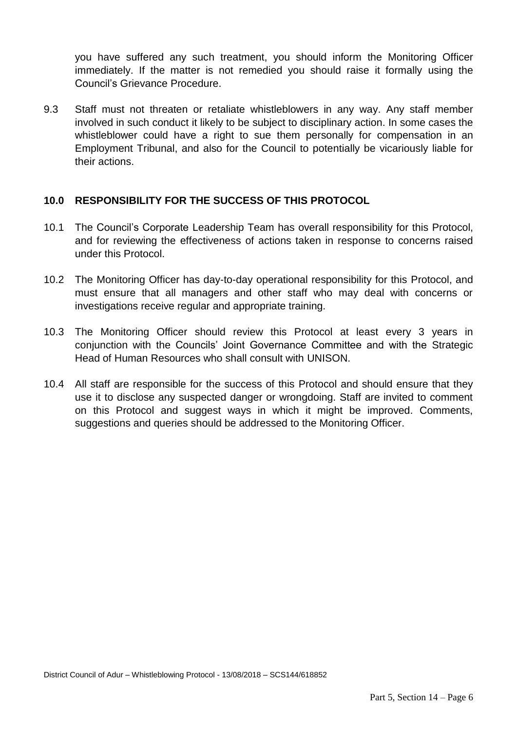you have suffered any such treatment, you should inform the Monitoring Officer immediately. If the matter is not remedied you should raise it formally using the Council's Grievance Procedure.

9.3 Staff must not threaten or retaliate whistleblowers in any way. Any staff member involved in such conduct it likely to be subject to disciplinary action. In some cases the whistleblower could have a right to sue them personally for compensation in an Employment Tribunal, and also for the Council to potentially be vicariously liable for their actions.

#### **10.0 RESPONSIBILITY FOR THE SUCCESS OF THIS PROTOCOL**

- 10.1 The Council's Corporate Leadership Team has overall responsibility for this Protocol, and for reviewing the effectiveness of actions taken in response to concerns raised under this Protocol.
- 10.2 The Monitoring Officer has day-to-day operational responsibility for this Protocol, and must ensure that all managers and other staff who may deal with concerns or investigations receive regular and appropriate training.
- 10.3 The Monitoring Officer should review this Protocol at least every 3 years in conjunction with the Councils' Joint Governance Committee and with the Strategic Head of Human Resources who shall consult with UNISON.
- 10.4 All staff are responsible for the success of this Protocol and should ensure that they use it to disclose any suspected danger or wrongdoing. Staff are invited to comment on this Protocol and suggest ways in which it might be improved. Comments, suggestions and queries should be addressed to the Monitoring Officer.